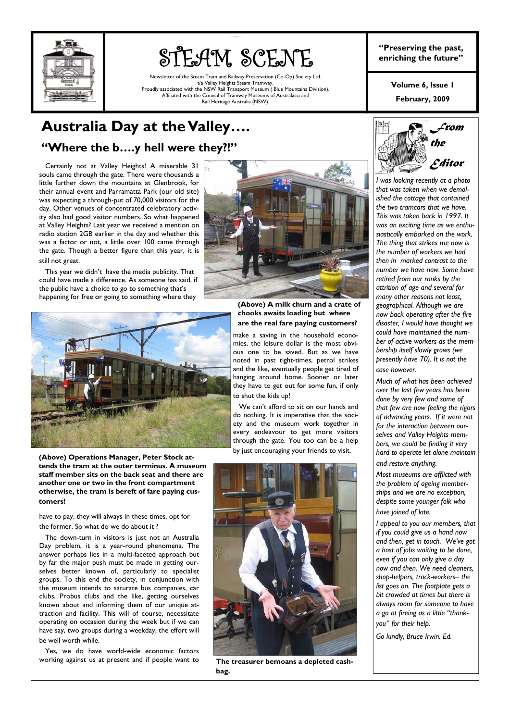

# STEAM SCENE

am and Railway Preservation (Co-Op) Society Ltd. t/a Valley Heights Steam Tramway. Proudly associated with the NSW Rail Transport Museum ( Blue Mountains Division). Affiliated with the Council of Tramway Museums of Australasia and Rail Heritage Australia (NSW).

**"Preserving the past, enriching the future"** 

> **February, 2009 Volume 6, Issue 1**

# **Australia Day at the Valley…. "Where the b….y hell were they?!"**

 Certainly not at Valley Heights! A miserable 31 souls came through the gate. There were thousands a little further down the mountains at Glenbrook, for their annual event and Parramatta Park (our old site) was expecting a through-put of 70,000 visitors for the day. Other venues of concentrated celebratory activity also had good visitor numbers. So what happened at Valley Heights? Last year we received a mention on radio station 2GB earlier in the day and whether this was a factor or not, a little over 100 came through the gate. Though a better figure than this year, it is still not great.

 This year we didn't have the media publicity. That could have made a difference. As someone has said, if the public have a choice to go to something that's happening for free or going to something where they



**(Above) Operations Manager, Peter Stock attends the tram at the outer terminus. A museum staff member sits on the back seat and there are another one or two in the front compartment otherwise, the tram is bereft of fare paying customers!** 

have to pay, they will always in these times, opt for the former. So what do we do about it ?

 The down-turn in visitors is just not an Australia Day problem, it is a year-round phenomena. The answer perhaps lies in a multi-faceted approach but by far the major push must be made in getting ourselves better known of, particularly to specialist groups. To this end the society, in conjunction with the museum intends to saturate bus companies, car clubs, Probus clubs and the like, getting ourselves known about and informing them of our unique attraction and facility. This will of course, necessitate operating on occasion during the week but if we can have say, two groups during a weekday, the effort will be well worth while.

 Yes, we do have world-wide economic factors working against us at present and if people want to



**(Above) A milk churn and a crate of chooks awaits loading but where are the real fare paying customers?** 

make a saving in the household economies, the leisure dollar is the most obvious one to be saved. But as we have noted in past tight-times, petrol strikes and the like, eventually people get tired of hanging around home. Sooner or later they have to get out for some fun, if only to shut the kids up!

 We can't afford to sit on our hands and do nothing. It is imperative that the society and the museum work together in every endeavour to get more visitors through the gate. You too can be a help by just encouraging your friends to visit.



**The treasurer bemoans a depleted cashbag.** 



*I was looking recently at a photo that was taken when we demolished the cottage that contained the two tramcars that we have. This was taken back in 1997. It was an exciting time as we enthusiastically embarked on the work. The thing that strikes me now is the number of workers we had then in marked contrast to the number we have now. Some have retired from our ranks by the attrition of age and several for many other reasons not least, geographical. Although we are now back operating after the fire disaster, I would have thought we could have maintained the number of active workers as the membership itself slowly grows (we presently have 70). It is not the case however.* 

*Much of what has been achieved over the last few years has been done by very few and some of that few are now feeling the rigors of advancing years. If it were not for the interaction between ourselves and Valley Heights members, we could be finding it very hard to operate let alone maintain and restore anything.* 

*Most museums are afflicted with the problem of ageing memberships and we are no exception, despite some younger folk who have joined of late.* 

*I appeal to you our members, that if you could give us a hand now and then, get in touch. We've got a host of jobs waiting to be done, even if you can only give a day now and then. We need cleaners, shop-helpers, track-workers– the list goes on. The footplate gets a bit crowded at times but there is always room for someone to have a go at fireing as a little "thankyou" for their help.* 

*Go kindly, Bruce Irwin. Ed.*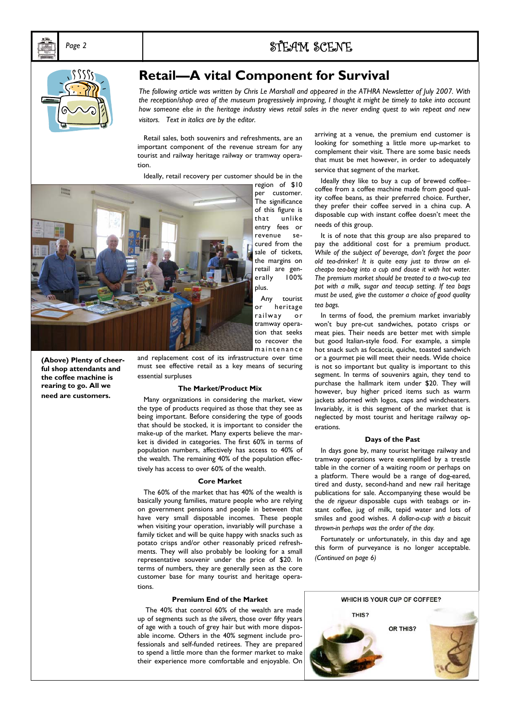

# **Retail—A vital Component for Survival**

*The following article was written by Chris Le Marshall and appeared in the ATHRA Newsletter of July 2007. With*  the reception/shop area of the museum progressively improving, I thought it might be timely to take into account *how someone else in the heritage industry views retail sales in the never ending quest to win repeat and new visitors. Text in italics are by the editor.* 

 Retail sales, both souvenirs and refreshments, are an important component of the revenue stream for any tourist and railway heritage railway or tramway operation.

Ideally, retail recovery per customer should be in the



region of \$10 per customer. The significance of this figure is that unlike entry fees or revenue secured from the sale of tickets, the margins on retail are generally 100% plus.

 Any tourist or heritage railway or tramway operation that seeks to recover the maintenance

**(Above) Plenty of cheerful shop attendants and the coffee machine is rearing to go. All we need are customers.** 

and replacement cost of its infrastructure over time must see effective retail as a key means of securing essential surpluses

#### **The Market/Product Mix**

 Many organizations in considering the market, view the type of products required as those that they see as being important. Before considering the type of goods that should be stocked, it is important to consider the make-up of the market. Many experts believe the market is divided in categories. The first 60% in terms of population numbers, affectively has access to 40% of the wealth. The remaining 40% of the population effectively has access to over 60% of the wealth.

### **Core Market**

 The 60% of the market that has 40% of the wealth is basically young families, mature people who are relying on government pensions and people in between that have very small disposable incomes. These people when visiting your operation, invariably will purchase a family ticket and will be quite happy with snacks such as potato crisps and/or other reasonably priced refreshments. They will also probably be looking for a small representative souvenir under the price of \$20. In terms of numbers, they are generally seen as the core customer base for many tourist and heritage operations.

## **Premium End of the Market**

 The 40% that control 60% of the wealth are made up of segments such as *the silvers,* those over fifty years of age with a touch of grey hair but with more disposable income. Others in the 40% segment include professionals and self-funded retirees. They are prepared to spend a little more than the former market to make their experience more comfortable and enjoyable. On

arriving at a venue, the premium end customer is looking for something a little more up-market to complement their visit. There are some basic needs that must be met however, in order to adequately service that segment of the market.

Ideally they like to buy a cup of brewed coffeecoffee from a coffee machine made from good quality coffee beans, as their preferred choice. Further, they prefer their coffee served in a china cup. A disposable cup with instant coffee doesn't meet the needs of this group.

 It is of note that this group are also prepared to pay the additional cost for a premium product. *While of the subject of beverage, don't forget the poor old tea-drinker! It is quite easy just to throw an elcheapo tea-bag into a cup and douse it with hot water. The premium market should be treated to a two-cup tea pot with a milk, sugar and teacup setting. If tea bags must be used, give the customer a choice of good quality tea bags.* 

 In terms of food, the premium market invariably won't buy pre-cut sandwiches, potato crisps or meat pies. Their needs are better met with simple but good Italian-style food. For example, a simple hot snack such as focaccia, quiche, toasted sandwich or a gourmet pie will meet their needs. Wide choice is not so important but quality is important to this segment. In terms of souvenirs again, they tend to purchase the hallmark item under \$20. They will however, buy higher priced items such as warm jackets adorned with logos, caps and windcheaters. Invariably, it is this segment of the market that is neglected by most tourist and heritage railway operations.

#### **Days of the Past**

 In days gone by, many tourist heritage railway and tramway operations were exemplified by a trestle table in the corner of a waiting room or perhaps on a platform. There would be a range of dog-eared, tired and dusty, second-hand and new rail heritage publications for sale. Accompanying these would be the *de rigueur* disposable cups with teabags or instant coffee, jug of milk, tepid water and lots of smiles and good wishes. *A dollar-a-cup with a biscuit thrown-in perhaps was the order of the day.* 

 Fortunately or unfortunately, in this day and age this form of purveyance is no longer acceptable. *(Continued on page 6)*

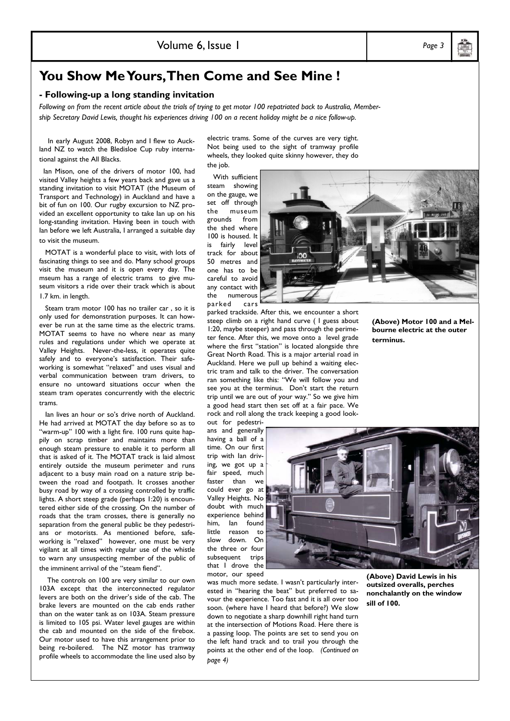**You Show Me Yours, Then Come and See Mine !** 

## **- Following-up a long standing invitation**

*Following on from the recent article about the trials of trying to get motor 100 repatriated back to Australia, Membership Secretary David Lewis, thought his experiences driving 100 on a recent holiday might be a nice follow-up.* 

 In early August 2008, Robyn and I flew to Auckland NZ to watch the Bledisloe Cup ruby international against the All Blacks.

 Ian Mison, one of the drivers of motor 100, had visited Valley heights a few years back and gave us a standing invitation to visit MOTAT (the Museum of Transport and Technology) in Auckland and have a bit of fun on 100. Our rugby excursion to NZ provided an excellent opportunity to take Ian up on his long-standing invitation. Having been in touch with Ian before we left Australia, I arranged a suitable day to visit the museum.

 MOTAT is a wonderful place to visit, with lots of fascinating things to see and do. Many school groups visit the museum and it is open every day. The mseum has a range of electric trams to give museum visitors a ride over their track which is about 1.7 km. in length.

 Steam tram motor 100 has no trailer car , so it is only used for demonstration purposes. It can however be run at the same time as the electric trams. MOTAT seems to have no where near as many rules and regulations under which we operate at Valley Heights. Never-the-less, it operates quite safely and to everyone's satisfaction. Their safeworking is somewhat "relaxed" and uses visual and verbal communication between tram drivers, to ensure no untoward situations occur when the steam tram operates concurrently with the electric trams.

 Ian lives an hour or so's drive north of Auckland. He had arrived at MOTAT the day before so as to "warm-up" 100 with a light fire. 100 runs quite happily on scrap timber and maintains more than enough steam pressure to enable it to perform all that is asked of it. The MOTAT track is laid almost entirely outside the museum perimeter and runs adjacent to a busy main road on a nature strip between the road and footpath. It crosses another busy road by way of a crossing controlled by traffic lights. A short steep grade (perhaps 1:20) is encountered either side of the crossing. On the number of roads that the tram crosses, there is generally no separation from the general public be they pedestrians or motorists. As mentioned before, safeworking is "relaxed" however, one must be very vigilant at all times with regular use of the whistle to warn any unsuspecting member of the public of the imminent arrival of the "steam fiend".

 The controls on 100 are very similar to our own 103A except that the interconnected regulator levers are both on the driver's side of the cab. The brake levers are mounted on the cab ends rather than on the water tank as on 103A. Steam pressure is limited to 105 psi. Water level gauges are within the cab and mounted on the side of the firebox. Our motor used to have this arrangement prior to being re-boilered. The NZ motor has tramway profile wheels to accommodate the line used also by electric trams. Some of the curves are very tight. Not being used to the sight of tramway profile wheels, they looked quite skinny however, they do the job.

 With sufficient steam showing on the gauge, we set off through the museum grounds from the shed where 100 is housed. It is fairly level track for about 50 metres and one has to be careful to avoid any contact with the numerous parked cars

parked trackside. After this, we encounter a short steep climb on a right hand curve ( I guess about 1:20, maybe steeper) and pass through the perimeter fence. After this, we move onto a level grade where the first "station" is located alongside thre Great North Road. This is a major arterial road in Auckland. Here we pull up behind a waiting electric tram and talk to the driver. The conversation ran something like this: "We will follow you and see you at the terminus. Don't start the return trip until we are out of your way." So we give him a good head start then set off at a fair pace. We rock and roll along the track keeping a good look-

out for pedestrians and generally having a ball of a time. On our first trip with Ian driving, we got up a fair speed, much faster than we could ever go at Valley Heights. No doubt with much experience behind him, Ian found little reason to slow down. On the three or four subsequent trips that I drove the motor, our speed

was much more sedate. I wasn't particularly interested in "hearing the beat" but preferred to savour the experience. Too fast and it is all over too soon. (where have I heard that before?) We slow down to negotiate a sharp downhill right hand turn at the intersection of Motions Road. Here there is a passing loop. The points are set to send you on the left hand track and to trail you through the points at the other end of the loop. *(Continued on page 4)* 

**(Above) David Lewis in his outsized overalls, perches nonchalantly on the window sill of 100.** 

**(Above) Motor 100 and a Melbourne electric at the outer** 

**terminus.** 



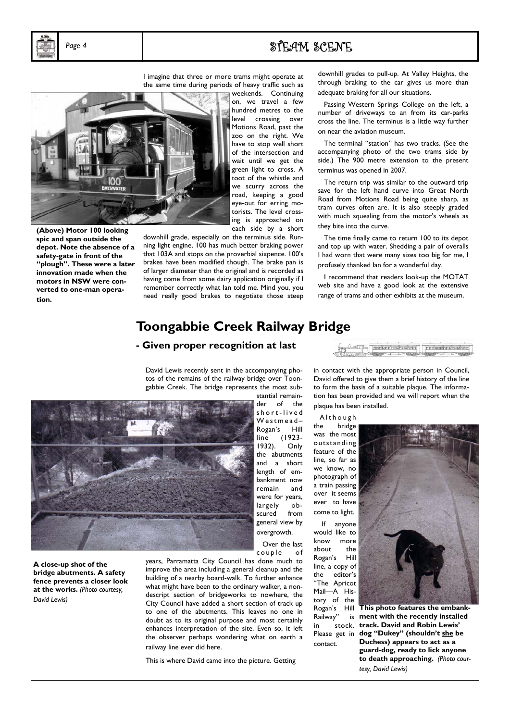# *Page 4* STEAM SCENE

I imagine that three or more trams might operate at the same time during periods of heavy traffic such as



**(Above) Motor 100 looking spic and span outside the depot. Note the absence of a safety-gate in front of the "plough". These were a later innovation made when the motors in NSW were converted to one-man operation.** 

weekends. Continuing on, we travel a few hundred metres to the level crossing over Motions Road, past the zoo on the right. We have to stop well short of the intersection and wait until we get the green light to cross. A toot of the whistle and we scurry across the road, keeping a good eye-out for erring motorists. The level crossing is approached on each side by a short

downhill grade, especially on the terminus side. Running light engine, 100 has much better braking power that 103A and stops on the proverbial sixpence. 100's brakes have been modified though. The brake pan is of larger diameter than the original and is recorded as having come from some dairy application originally if I remember correctly what Ian told me. Mind you, you need really good brakes to negotiate those steep

downhill grades to pull-up. At Valley Heights, the through braking to the car gives us more than adequate braking for all our situations.

 Passing Western Springs College on the left, a number of driveways to an from its car-parks cross the line. The terminus is a little way further on near the aviation museum.

 The terminal "station" has two tracks. (See the accompanying photo of the two trams side by side.) The 900 metre extension to the present terminus was opened in 2007.

 The return trip was similar to the outward trip save for the left hand curve into Great North Road from Motions Road being quite sharp, as tram curves often are. It is also steeply graded with much squealing from the motor's wheels as they bite into the curve.

 The time finally came to return 100 to its depot and top up with water. Shedding a pair of overalls I had worn that were many sizes too big for me, I profusely thanked Ian for a wonderful day.

 I recommend that readers look-up the MOTAT web site and have a good look at the extensive range of trams and other exhibits at the museum.

## **Toongabbie Creek Railway Bridge**

## **- Given proper recognition at last**

David Lewis recently sent in the accompanying photos of the remains of the railway bridge over Toongabbie Creek. The bridge represents the most sub-



**A close-up shot of the bridge abutments. A safety fence prevents a closer look at the works.** *(Photo courtesy, David Lewis)* 

stantial remainder of the s h o r t - l i v e d W e s t m e a d – Rogan's Hill line (1923- 1932). Only the abutments and a short length of embankment now remain and were for years, largely obscured from general view by overgrowth.

 Over the last couple of

years, Parramatta City Council has done much to improve the area including a general cleanup and the building of a nearby board-walk. To further enhance what might have been to the ordinary walker, a nondescript section of bridgeworks to nowhere, the City Council have added a short section of track up to one of the abutments. This leaves no one in doubt as to its original purpose and most certainly enhances interpretation of the site. Even so, it left the observer perhaps wondering what on earth a railway line ever did here.

This is where David came into the picture. Getting

her and production of the conduction ( Application of the Manufacturers of **Assurance** 

in contact with the appropriate person in Council, David offered to give them a brief history of the line to form the basis of a suitable plaque. The information has been provided and we will report when the plaque has been installed.

A l t h o u g h

the bridge was the most outstanding feature of the line, so far as we know, no photograph of a train passing over it seems ever to have come to light.

 If anyone would like to know more about the Rogan's Hill line, a copy of the editor's "The Apricot Mail—A History of the Railway" in stock. Please get in contact.



Rogan's Hill **This photo features the embankment with the recently installed track. David and Robin Lewis' dog "Dukey" (shouldn't she be Duchess) appears to act as a guard-dog, ready to lick anyone to death approaching.** *(Photo courtesy, David Lewis)*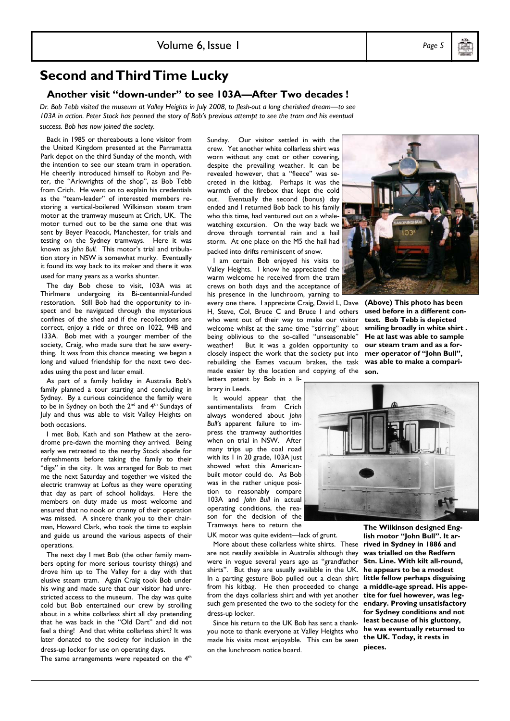# **Second and Third Time Lucky**

## **Another visit "down-under" to see 103A—After Two decades !**

*Dr. Bob Tebb visited the museum at Valley Heights in July 2008, to flesh-out a long cherished dream—to see*  103A in action. Peter Stock has penned the story of Bob's previous attempt to see the tram and his eventual *success. Bob has now joined the society.* 

 Back in 1985 or thereabouts a lone visitor from the United Kingdom presented at the Parramatta Park depot on the third Sunday of the month, with the intention to see our steam tram in operation. He cheerily introduced himself to Robyn and Peter, the "Arkwrights of the shop", as Bob Tebb from Crich. He went on to explain his credentials as the "team-leader" of interested members restoring a vertical-boilered Wilkinson steam tram motor at the tramway museum at Crich, UK. The motor turned out to be the same one that was sent by Beyer Peacock, Manchester, for trials and testing on the Sydney tramways. Here it was known as *John Bull.* This motor's trial and tribulation story in NSW is somewhat murky. Eventually it found its way back to its maker and there it was used for many years as a works shunter.

 The day Bob chose to visit, 103A was at Thirlmere undergoing its Bi-centennial-funded restoration. Still Bob had the opportunity to inspect and be navigated through the mysterious confines of the shed and if the recollections are correct, enjoy a ride or three on 1022, 94B and 133A. Bob met with a younger member of the society, Craig, who made sure that he saw everything. It was from this chance meeting we began a long and valued friendship for the next two decades using the post and later email.

 As part of a family holiday in Australia Bob's family planned a tour starting and concluding in Sydney. By a curious coincidence the family were to be in Sydney on both the  $2^{nd}$  and  $4^{th}$  Sundays of July and thus was able to visit Valley Heights on both occasions.

 I met Bob, Kath and son Mathew at the aerodrome pre-dawn the morning they arrived. Being early we retreated to the nearby Stock abode for refreshments before taking the family to their "digs" in the city. It was arranged for Bob to met me the next Saturday and together we visited the electric tramway at Loftus as they were operating that day as part of school holidays. Here the members on duty made us most welcome and ensured that no nook or cranny of their operation was missed. A sincere thank you to their chairman, Howard Clark, who took the time to explain and guide us around the various aspects of their operations.

 The next day I met Bob (the other family members opting for more serious touristy things) and drove him up to The Valley for a day with that elusive steam tram. Again Craig took Bob under his wing and made sure that our visitor had unrestricted access to the museum. The day was quite cold but Bob entertained our crew by strolling about in a white collarless shirt all day pretending that he was back in the "Old Dart" and did not feel a thing! And that white collarless shirt? It was later donated to the society for inclusion in the dress-up locker for use on operating days.

The same arrangements were repeated on the  $4<sup>th</sup>$ 

Sunday. Our visitor settled in with the crew. Yet another white collarless shirt was worn without any coat or other covering, despite the prevailing weather. It can be revealed however, that a "fleece" was secreted in the kitbag. Perhaps it was the warmth of the firebox that kept the cold out. Eventually the second (bonus) day ended and I returned Bob back to his family who this time, had ventured out on a whalewatching excursion. On the way back we drove through torrential rain and a hail storm. At one place on the M5 the hail had packed into drifts reminiscent of snow.

 I am certain Bob enjoyed his visits to Valley Heights. I know he appreciated the warm welcome he received from the tram crews on both days and the acceptance of his presence in the lunchroom, yarning to

every one there. I appreciate Craig, David L, Dave H, Steve, Col, Bruce C and Bruce I and others who went out of their way to make our visitor welcome whilst at the same time "stirring" about being oblivious to the so-called "unseasonable" weather! But it was a golden opportunity to closely inspect the work that the society put into rebuilding the Eames vacuum brakes, the task made easier by the location and copying of the **son.** 

letters patent by Bob in a library in Leeds.

 It would appear that the sentimentalists from Crich always wondered about *John Bull's* apparent failure to impress the tramway authorities when on trial in NSW. After many trips up the coal road with its 1 in 20 grade, 103A just showed what this Americanbuilt motor could do. As Bob was in the rather unique position to reasonably compare 103A and *John Bull* in actual operating conditions, the reason for the decision of the Tramways here to return the

UK motor was quite evident—lack of grunt.

 More about these collarless white shirts. These **rived in Sydney in 1886 and**  are not readily available in Australia although they were in vogue several years ago as "grandfather shirts". But they are usually available in the UK. **he appears to be a modest**  In a parting gesture Bob pulled out a clean shirt **little fellow perhaps disguising**  from his kitbag. He then proceeded to change **a middle-age spread. His appe**from the days collarless shirt and with yet another such gem presented the two to the society for the dress-up locker.

 Since his return to the UK Bob has sent a thankyou note to thank everyone at Valley Heights who made his visits most enjoyable. This can be seen on the lunchroom notice board.

**text. Bob Tebb is depicted smiling broadly in white shirt . He at last was able to sample our steam tram and as a former operator of "John Bull", was able to make a compari-**

**(Above) This photo has been used before in a different con-**

**The Wilkinson designed English motor "John Bull". It arwas trialled on the Redfern Stn. Line. With kilt all-round, tite for fuel however, was legendary. Proving unsatisfactory for Sydney conditions and not least because of his gluttony, he was eventually returned to the UK. Today, it rests in pieces.**